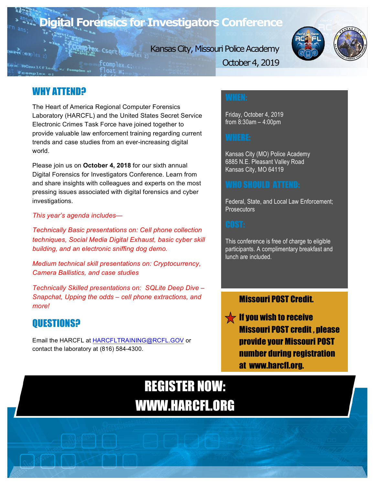

Kansas City, Missouri Police Academy



October 4, 2019

## WHY ATTEND?

The Heart of America Regional Computer Forensics Laboratory (HARCFL) and the United States Secret Service Electronic Crimes Task Force have joined together to provide valuable law enforcement training regarding current trends and case studies from an ever-increasing digital world.

Please join us on **October 4, 2018** for our sixth annual Digital Forensics for Investigators Conference. Learn from and share insights with colleagues and experts on the most pressing issues associated with digital forensics and cyber investigations.

### *This year's agenda includes—*

*Technically Basic presentations on: Cell phone collection techniques, Social Media Digital Exhaust, basic cyber skill building, and an electronic sniffing dog demo.* 

*Medium technical skill presentations on: Cryptocurrency, Camera Ballistics, and case studies* 

*Technically Skilled presentations on: SQLite Deep Dive – Snapchat, Upping the odds – cell phone extractions, and more!*

## QUESTIONS?

Email the HARCFL at HARCFLTRAINING@RCFL.GOV or contact the laboratory at (816) 584-4300.

Friday, October 4, 2019 from 8:30am – 4:00pm

Kansas City (MO) Police Academy 6885 N.E. Pleasant Valley Road Kansas City, MO 64119

Federal, State, and Local Law Enforcement; **Prosecutors** 

This conference is free of charge to eligible participants. A complimentary breakfast and lunch are included.

### Missouri POST Credit.

 $\sqrt{\phantom{a}}$  If you wish to receive Missouri POST credit , please provide your Missouri POST number during registration at www.harcfl.org.

## REGISTER NOW: WWW.HARCFL.ORG